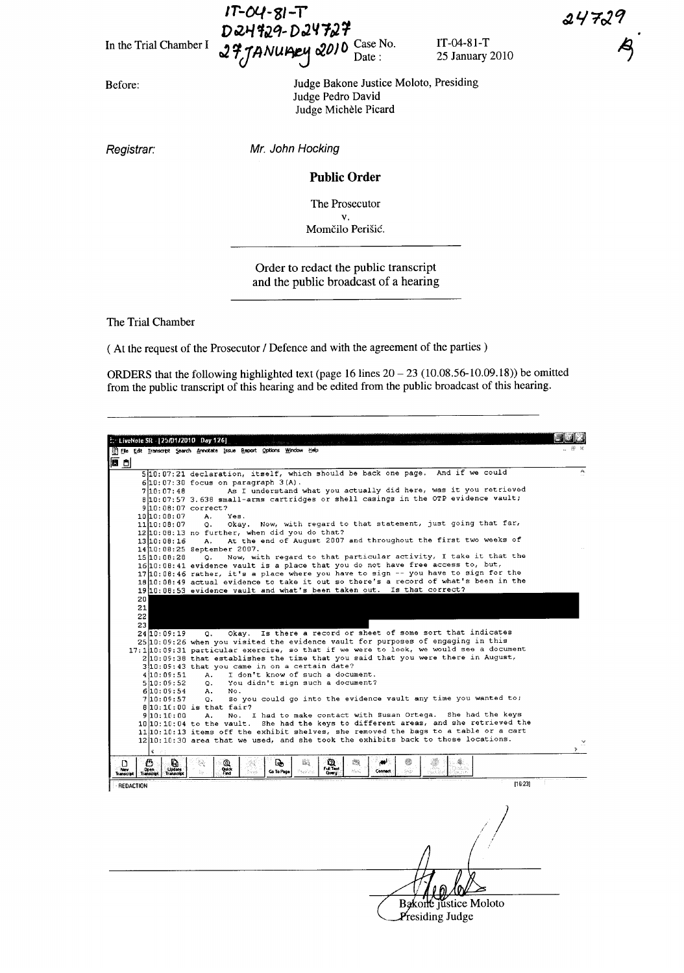In the Trial Chamber I

Before:

Judge Bakone Justice Moloto, Presiding Judge Pedro David Judge Michele Picard

 $T_c$   $\mu$  *N*  $\mu$   $\mu$   $\alpha$   $\mu$   $\sigma$   $\Omega$  <u>bate:</u> 25 January 2010

J!:t1ANUIDeI-f r!l.OJo Case No. IT-04-81-T

Registrar:

Mr. John Hocking

 $IP-OY-SI-T$ 

D 24429-D 24727

## Public Order

The Prosecutor v.

Momčilo Perišić.

Order to redact the public transcript and the public broadcast of a hearing

The Trial Chamber

( At the request of the Prosecutor / Defence and with the agreement of the parties)

ORDERS that the following highlighted text (page 16 lines  $20 - 23$  (10.08.56-10.09.18)) be omitted from the public transcript of this hearing and be edited from the public broadcast of this hearing.

| h. LiveNote 5R - [25/01/2010 Day 126]                                                                |                                                                                                                                                                                                                          |  |
|------------------------------------------------------------------------------------------------------|--------------------------------------------------------------------------------------------------------------------------------------------------------------------------------------------------------------------------|--|
|                                                                                                      | Ele Edit Transcript Search Annotate Issue Report Options Window Help                                                                                                                                                     |  |
| 同日                                                                                                   | 510:07:21 declaration, itself, which should be back one page. And if we could                                                                                                                                            |  |
|                                                                                                      | $6 10:07:30$ focus on paragraph $3(A)$ .                                                                                                                                                                                 |  |
| 7 10:07:40                                                                                           | As I understand what you actually did here, was it you retrieved                                                                                                                                                         |  |
|                                                                                                      | 8 10:07:57 3.638 small-arms cartridges or shell casings in the OTP evidence vault;                                                                                                                                       |  |
| 9 10:08:07 correct?                                                                                  |                                                                                                                                                                                                                          |  |
| 10 10:08:07                                                                                          | A.<br>Yes.                                                                                                                                                                                                               |  |
| 11 10:08:07                                                                                          | Okay. Now, with regard to that statement, just going that far,<br>о.                                                                                                                                                     |  |
|                                                                                                      | 12 10:08:13 no further, when did you do that?                                                                                                                                                                            |  |
| 13 10:08:16                                                                                          | At the end of August 2007 and throughout the first two weeks of<br>А.                                                                                                                                                    |  |
|                                                                                                      | 14 10:08:25 September 2007.                                                                                                                                                                                              |  |
| 15 10:08:28                                                                                          | Now, with regard to that particular activity, I take it that the<br>0.                                                                                                                                                   |  |
|                                                                                                      | 16 10:08:41 evidence vault is a place that you do not have free access to, but,                                                                                                                                          |  |
|                                                                                                      | 17 10:08:46 rather, it's a place where you have to sign -- you have to sign for the                                                                                                                                      |  |
|                                                                                                      | 18 10:08:49 actual evidence to take it out so there's a record of what's been in the                                                                                                                                     |  |
|                                                                                                      | 19 10:08:53 evidence vault and what's been taken out. Is that correct?                                                                                                                                                   |  |
| 20                                                                                                   |                                                                                                                                                                                                                          |  |
| 21                                                                                                   |                                                                                                                                                                                                                          |  |
| 22                                                                                                   |                                                                                                                                                                                                                          |  |
|                                                                                                      |                                                                                                                                                                                                                          |  |
| 23                                                                                                   | Okay. Is there a record or sheet of some sort that indicates                                                                                                                                                             |  |
| 24 10:09:19                                                                                          | О.<br>25 10:09:26 when you visited the evidence vault for purposes of engaging in this                                                                                                                                   |  |
|                                                                                                      | 17:1 10:09:31 particular exercise, so that if we were to look, we would see a document                                                                                                                                   |  |
|                                                                                                      | 2 10:09:38 that establishes the time that you said that you were there in August,                                                                                                                                        |  |
|                                                                                                      | 3 10:09:43 that you came in on a certain date?                                                                                                                                                                           |  |
| 4 10 : 0 5 : 5 1                                                                                     | I don't know of such a document.<br>А.                                                                                                                                                                                   |  |
| 5 10:09:52                                                                                           | You didn't sign such a document?                                                                                                                                                                                         |  |
| 6 10:09:54                                                                                           | $\circ$ .<br>А.<br>No.                                                                                                                                                                                                   |  |
| 7 10:09:57                                                                                           | So you could go into the evidence vault any time you wanted to;<br>o.                                                                                                                                                    |  |
|                                                                                                      | $8 10:10:00$ is that fair?                                                                                                                                                                                               |  |
| 9 10:10:00                                                                                           | No. I had to make contact with Susan Ortega. She had the keys<br>А.                                                                                                                                                      |  |
|                                                                                                      | 10 10:10:04 to the vault. She had the keys to different areas, and she retrieved the                                                                                                                                     |  |
|                                                                                                      | 11 10:10:13 items off the exhibit shelves, she removed the bags to a table or a cart                                                                                                                                     |  |
|                                                                                                      | 12 10:10:30 area that we used, and she took the exhibits back to those locations.                                                                                                                                        |  |
|                                                                                                      |                                                                                                                                                                                                                          |  |
|                                                                                                      |                                                                                                                                                                                                                          |  |
| Δ<br>Đ.<br>D<br><b>Update</b><br>Nev<br>Open<br><b>Transcript</b><br>Transcript<br><b>Transcript</b> | ٤<br>Q,<br>惣<br>الوبي<br>參<br>Q<br>Q<br>W.<br>21<br>Ŧ.<br><b>Quick</b><br>Full Test<br>$\mathbb{N}_{\mathbb{C}}^* \mathbb{N}_{\mathbb{C}}^*$<br>Connect<br>Skip<br><b>Go To Page</b><br>President<br>b.<br>Nova<br>Query |  |
|                                                                                                      | [16:23]                                                                                                                                                                                                                  |  |
| <b>REDACTION</b>                                                                                     |                                                                                                                                                                                                                          |  |
|                                                                                                      |                                                                                                                                                                                                                          |  |
|                                                                                                      |                                                                                                                                                                                                                          |  |
|                                                                                                      |                                                                                                                                                                                                                          |  |
|                                                                                                      |                                                                                                                                                                                                                          |  |
|                                                                                                      |                                                                                                                                                                                                                          |  |

Bakone justice Moloto

Presiding Judge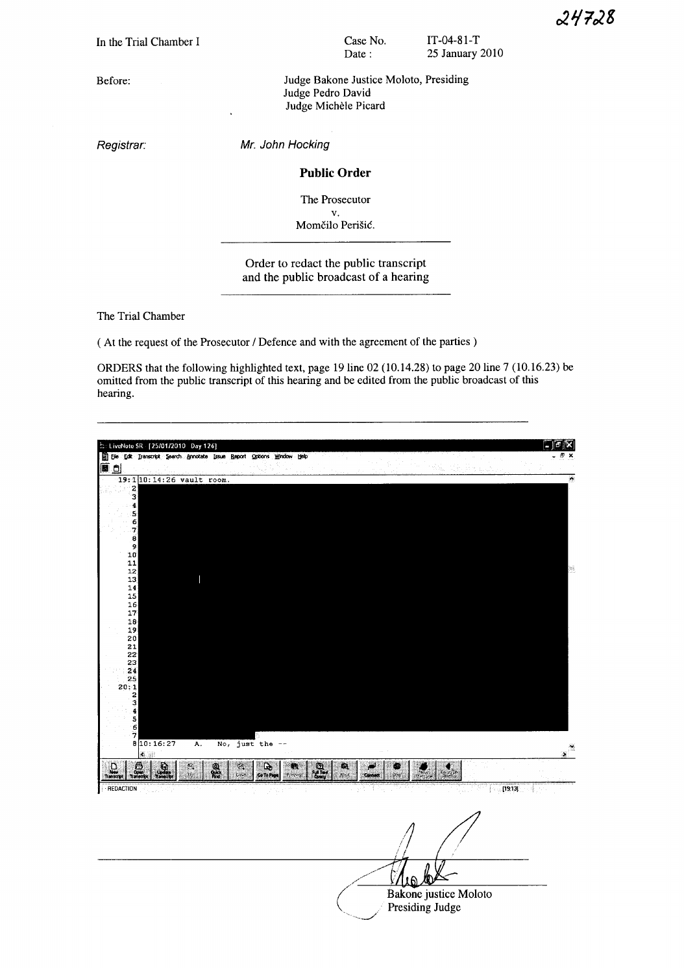**In** the Trial Chamber I

Before:

Registrar:

Mr. John Hocking

#### **Public Order**

Judge Pedro David Judge Michele Picard

Case No. Date:

Judge Bakone Justice Moloto, Presiding

IT-04-81-T 25 January 2010

The Prosecutor

v. Momčilo Perišić.

# Order to redact the public transcript and the public broadcast of a hearing

The Trial Chamber

( At the request of the Prosecutor / Defence and with the agreement of the parties)

ORDERS that the following highlighted text, page 19 line 02 (10.14.28) to page 20 line 7 (10.16.23) be omitted from the public transcript of this hearing and be edited from the public broadcast of this hearing.